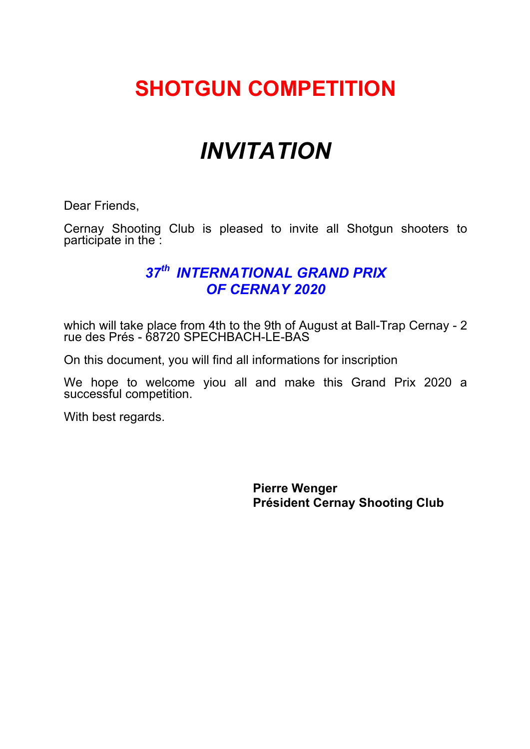# **SHOTGUN COMPETITION**

# *INVITATION*

Dear Friends,

Cernay Shooting Club is pleased to invite all Shotgun shooters to participate in the :

### *37th INTERNATIONAL GRAND PRIX OF CERNAY 2020*

which will take place from 4th to the 9th of August at Ball-Trap Cernay - 2 rue des Prés - 68720 SPECHBACH-LE-BAS

On this document, you will find all informations for inscription

We hope to welcome yiou all and make this Grand Prix 2020 a successful competition.

With best regards.

**Pierre Wenger Président Cernay Shooting Club**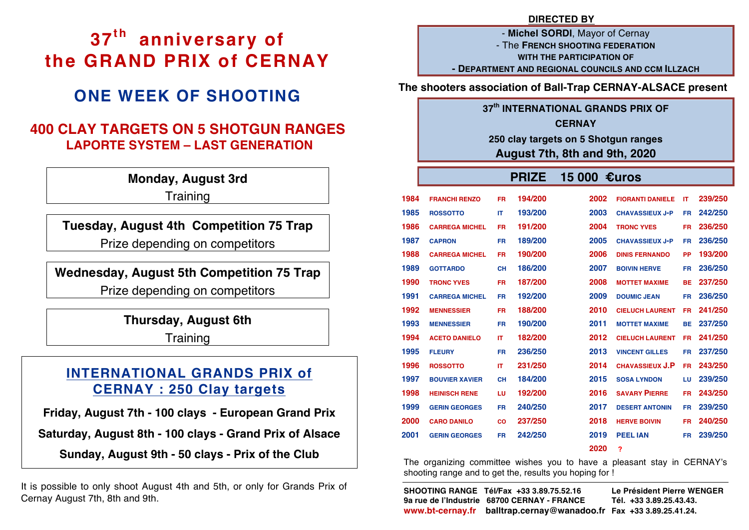# **37th anniversary of the GRAND PRIX of CERNAY**

### **ONE WEEK OF SHOOTING**

### **400 CLAY TARGETS ON 5 SHOTGUN RANGES LAPORTE SYSTEM – LAST GENERATION**

**Monday, August 3rd**

**Training** 

**Tuesday, August 4th Competition 75 Trap** Prize depending on competitors

### **Wednesday, August 5th Competition 75 Trap**

Prize depending on competitors

**Thursday, August 6th**

**Training** 

### **INTERNATIONAL GRANDS PRIX of CERNAY : 250 Clay targets**

**Friday, August 7th - 100 clays - European Grand Prix** 

**Saturday, August 8th - 100 clays - Grand Prix of Alsace**

**Sunday, August 9th - 50 clays - Prix of the Club**

It is possible to only shoot August 4th and 5th, or only for Grands Prix of Cernay August 7th, 8th and 9th.

- **Michel SORDI**, Mayor of Cernay - The **FRENCH SHOOTING FEDERATION WITH THE PARTICIPATION OF - DEPARTMENT AND REGIONAL COUNCILS AND CCM ILLZACH**

**The shooters association of Ball-Trap CERNAY-ALSACE present**

#### **37th INTERNATIONAL GRANDS PRIX OF**

**CERNAY**

**250 clay targets on 5 Shotgun ranges August 7th, 8th and 9th, 2020** 

#### **PRIZE 15 000 €uros**

| 1984 | <b>FRANCHI RENZO</b>  | FR.       | 194/200 | 2002 | <b>FIORANTI DANIELE</b> | IT        | 239/250 |
|------|-----------------------|-----------|---------|------|-------------------------|-----------|---------|
| 1985 | <b>ROSSOTTO</b>       | <b>IT</b> | 193/200 | 2003 | <b>CHAVASSIEUX J-P</b>  | FR.       | 242/250 |
| 1986 | <b>CARREGA MICHEL</b> | FR.       | 191/200 | 2004 | <b>TRONC YVES</b>       | FR.       | 236/250 |
| 1987 | <b>CAPRON</b>         | <b>FR</b> | 189/200 | 2005 | <b>CHAVASSIEUX J-P</b>  | FR.       | 236/250 |
| 1988 | <b>CARREGA MICHEL</b> | <b>FR</b> | 190/200 | 2006 | <b>DINIS FERNANDO</b>   | PP        | 193/200 |
| 1989 | <b>GOTTARDO</b>       | <b>CH</b> | 186/200 | 2007 | <b>BOIVIN HERVE</b>     | FR.       | 236/250 |
| 1990 | <b>TRONC YVES</b>     | <b>FR</b> | 187/200 | 2008 | <b>MOTTET MAXIME</b>    | <b>BE</b> | 237/250 |
| 1991 | <b>CARREGA MICHEL</b> | FR.       | 192/200 | 2009 | <b>DOUMIC JEAN</b>      | FR.       | 236/250 |
| 1992 | <b>MENNESSIER</b>     | FR.       | 188/200 | 2010 | <b>CIELUCH LAURENT</b>  | FR.       | 241/250 |
| 1993 | <b>MENNESSIER</b>     | FR.       | 190/200 | 2011 | <b>MOTTET MAXIME</b>    | <b>BE</b> | 237/250 |
| 1994 | <b>ACETO DANIELO</b>  | <b>IT</b> | 182/200 | 2012 | <b>CIELUCH LAURENT</b>  | FR.       | 241/250 |
| 1995 | <b>FLEURY</b>         | <b>FR</b> | 236/250 | 2013 | <b>VINCENT GILLES</b>   | <b>FR</b> | 237/250 |
| 1996 | <b>ROSSOTTO</b>       | <b>IT</b> | 231/250 | 2014 | <b>CHAVASSIEUX J.P</b>  | FR.       | 243/250 |
| 1997 | <b>BOUVIER XAVIER</b> | <b>CH</b> | 184/200 | 2015 | <b>SOSA LYNDON</b>      | LU        | 239/250 |
| 1998 | <b>HEINISCH RENE</b>  | LU        | 192/200 | 2016 | <b>SAVARY PIERRE</b>    | FR.       | 243/250 |
| 1999 | <b>GERIN GEORGES</b>  | FR.       | 240/250 | 2017 | <b>DESERT ANTONIN</b>   | <b>FR</b> | 239/250 |
| 2000 | <b>CARO DANILO</b>    | <b>CO</b> | 237/250 | 2018 | <b>HERVE BOIVIN</b>     | FR.       | 240/250 |
| 2001 | <b>GERIN GEORGES</b>  | FR.       | 242/250 | 2019 | <b>PEEL IAN</b>         | <b>FR</b> | 239/250 |
|      |                       |           |         | 2020 | $\overline{\mathbf{r}}$ |           |         |

The organizing committee wishes you to have a pleasant stay in CERNAY's shooting range and to get the, results you hoping for !

j **SHOOTING RANGE Tél/Fax +33 3.89.75.52.16 Le Président Pierre WENGER 9a rue de l'Industrie 68700 CERNAY - FRANCE Tél. +33 3.89.25.43.43. www.bt-cernay.fr balltrap.cernay@wanadoo.fr Fax +33 3.89.25.41.24.**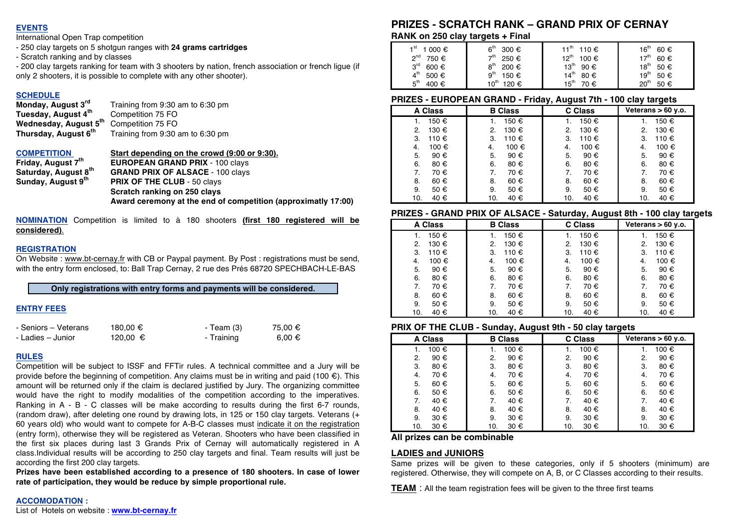#### **EVENTS**

International Open Trap competition

- 250 clay targets on 5 shotgun ranges with **24 grams cartridges**
- Scratch ranking and by classes

- 200 clay targets ranking for team with 3 shooters by nation, french association or french ligue (if only 2 shooters, it is possible to complete with any other shooter).

### **SCHEDULE**<br>Monday, August 3rd

**Tuesday, August 4<sup>th</sup> Competition 75 FO<br>Wednesday, August 5<sup>th</sup> Competition 75 FO Wednesday, August 5<sup>th</sup><br>Thursday, August 6<sup>th</sup>** 

**Monday, August 3rd** Training from 9:30 am to 6:30 pm Training from 9:30 am to 6:30 pm

**COMPETITION Start depending on the crowd (9:00 or 9:30).**<br>**Friday, August 7<sup>th</sup> EUROPEAN GRAND PRIX** - 100 clavs

**Friday, August 7<sup>th</sup> EUROPEAN GRAND PRIX** - 100 clays<br> **Saturday, August 8<sup>th</sup> GRAND PRIX OF ALSACE - 100 clavs Saturday, August 8<sup>th</sup> GRAND PRIX OF ALSACE - 100 clays Sunday, August 9<sup>th</sup> PRIX OF THE CLUB - 50 clays PRIX OF THE CLUB - 50 clays Scratch ranking on 250 clays Award ceremony at the end of competition (approximatly 17:00)**

**NOMINATION** Competition is limited to à 180 shooters **(first 180 registered will be considered)**.

#### **REGISTRATION**

On Website : www.bt-cernay.fr with CB or Paypal payment. By Post : registrations must be send, with the entry form enclosed, to: Ball Trap Cernay, 2 rue des Prés 68720 SPECHBACH-LE-BAS

**Only registrations with entry forms and payments will be considered.**

#### **ENTRY FEES**

| - Seniors - Veterans | 180.00 € | - Team (3) | 75.00 € |
|----------------------|----------|------------|---------|
| - Ladies – Junior    | 120.00 € | - Training | 6.00 €  |

#### **RULES**

Competition will be subject to ISSF and FFTir rules. A technical committee and a Jury will be provide before the beginning of competition. Any claims must be in writing and paid (100  $\epsilon$ ). This amount will be returned only if the claim is declared justified by Jury. The organizing committee would have the right to modify modalities of the competition according to the imperatives. Ranking in A - B - C classes will be make according to results during the first 6-7 rounds, (random draw), after deleting one round by drawing lots, in 125 or 150 clay targets. Veterans (+ 60 years old) who would want to compete for A-B-C classes must indicate it on the registration (entry form), otherwise they will be registered as Veteran. Shooters who have been classified in the first six places during last 3 Grands Prix of Cernay will automatically registered in A class.Individual results will be according to 250 clay targets and final. Team results will just be according the first 200 clay targets.

**Prizes have been established according to a presence of 180 shooters. In case of lower rate of participation, they would be reduce by simple proportional rule.** 

### **PRIZES - SCRATCH RANK – GRAND PRIX OF CERNAY**

**RANK on 250 clay targets + Final**

| 1 <sup>st</sup> | 6 <sup>th</sup>  | 11 <sup>th</sup>  | $16^{\text{th}}$  |
|-----------------|------------------|-------------------|-------------------|
| 1 000 €         | 300 €            | 110 €             | 60 €              |
| <sup>nd</sup>   | →th              | $12^{th}$         | 17 <sup>th</sup>  |
| 750 €           | 250 €            | 100 €             | $60 \text{ } \in$ |
| $3^{\text{rd}}$ | $8^{\text{th}}$  | $13^{\text{th}}$  | $18^{th}$         |
| 600 $\epsilon$  | 200 €            | 90€               | 50€               |
| $4^{\text{th}}$ | 9 <sup>th</sup>  | $14^{th}$         | 19 <sup>th</sup>  |
| 500 €           | 150 €            | $80 \text{ } \in$ | 50€               |
| 5 <sup>th</sup> | $10^{\text{th}}$ | $15^{\sf th}$     | 20 <sup>th</sup>  |
| 400 €           | 120 €            | 70€               | 50 €              |

#### **PRIZES - EUROPEAN GRAND - Friday, August 7th - 100 clay targets**

| <b>A Class</b> | <b>B</b> Class | . .<br>-<br>C Class | -<br>Veterans $> 60$ y.o. |
|----------------|----------------|---------------------|---------------------------|
| 150 €          | 150 €          | 150 €               | 150 €                     |
| 130 €          | 130 €          | 130 €               | 130 €                     |
| 2.             | 2.             | 2.                  | 2.                        |
| 110 €          | 110 €          | 110 €               | 110 €                     |
| 3.             | 3.             | 3.                  | 3.                        |
| 100 €          | 100 €          | 100 €               | 100 €                     |
| 4.             | 4.             | 4.                  | 4.                        |
| 5.             | 5.             | 5.                  | 5.                        |
| 90€            | 90 €           | 90 €                | 90€                       |
| 6.             | 6.             | 6.                  | 6.                        |
| 80€            | 80€            | 80€                 | 80€                       |
| 7.             | 70€            | 70€                 | 70€                       |
| 70€            | 7.             | 7.                  | 7.                        |
| 8.             | 60€            | 60€                 | 60€                       |
| 60€            | 8.             | 8.                  | 8.                        |
| 9.             | 9.             | 9.                  | 50 €                      |
| 50 €           | 50 €           | 50 €                | 9.                        |
| 10.            | 40 €           | 40 €                | 40 €                      |
| 40 €           | 10.            | 10.                 | 10.                       |

#### **PRIZES - GRAND PRIX OF ALSACE - Saturday, August 8th - 100 clay targets**

| <b>A Class</b> | <b>B</b> Class | C Class | Veterans $> 60$ y.o. |
|----------------|----------------|---------|----------------------|
| 150 €<br>1.    | 150 €          | 150 €   | 150 €                |
| 130 €          | 130 €          | 130 €   | 130 €                |
| 2.             | 2.             | 2.      | 2.                   |
| 110 €          | 110 €          | 110 €   | 110 €                |
| 3.             | 3.             | 3.      | 3.                   |
| 100 €          | 100 €          | 100 €   | 100 €                |
| 4.             | 4.             | 4.      | 4.                   |
| 5.             | 5.             | 5.      | 90€                  |
| 90 €           | 90 €           | 90 €    | 5.                   |
| 6.             | 80€            | 6.      | 80€                  |
| 80€            | 6.             | 80 €    | 6.                   |
| 70€            | 70€            | 70€     | 70€                  |
| 7.             | 7.             | 7.      | 7.                   |
| 60€            | 60€            | 60€     | 60€                  |
| 8.             | 8.             | 8.      | 8.                   |
| 9.             | 50€            | 9.      | 50 €                 |
| 50 €           | 9.             | 50 €    | 9.                   |
| 10.            | 40 €           | 40 €    | 40 €                 |
| 40 €           | 10.            | 10.     | 10.                  |

#### **PRIX OF THE CLUB - Sunday, August 9th - 50 clay targets**

| <b>A Class</b> | <b>B</b> Class |       | Veterans $> 60$ y.o. |  |
|----------------|----------------|-------|----------------------|--|
| 100 €<br>1.    | 100 €          | 100 € | 100 €                |  |
| 90 €           | 90 €           | 90 €  | 90 €                 |  |
| 2.             | 2.             | 2.    | $\mathbf{2}$         |  |
| 3.             | 80€            | 3.    | 80 €                 |  |
| 80 €           | 3.             | 80 €  | 3.                   |  |
| 70€            | 70€            | 70€   | 70€                  |  |
| 4.             | 4.             | 4.    | 4.                   |  |
| 5.             | 5.             | 5.    | 5.                   |  |
| 60€            | 60€            | 60€   | 60 €                 |  |
| 6.             | 50 €           | 6.    | 6.                   |  |
| 50 €           | 6.             | 50 €  | 50 €                 |  |
| 40 €           | 40 €           | 40 €  | 40 €                 |  |
| 7.             | 7.             | 7.    | 7.                   |  |
| 40 €           | 40 €           | 40 €  | 40 €                 |  |
| 8.             | 8.             | 8.    | 8.                   |  |
| 9.             | 9.             | 9.    | 9.                   |  |
| 30 €           | 30 €           | 30 €  | 30 €                 |  |
| 30 €           | 30 €           | 30 €  | 30 €                 |  |
| 10.            | 10.            | 10.   | 10.                  |  |

#### **All prizes can be combinable**

#### **LADIES and JUNIORS**

Same prizes will be given to these categories, only if 5 shooters (minimum) are registered. Otherwise, they will compete on A, B, or C Classes according to their results.

**TEAM** : All the team registration fees will be given to the three first teams

#### **ACCOMODATION :**

List of Hotels on website : **www.bt-cernay.fr**